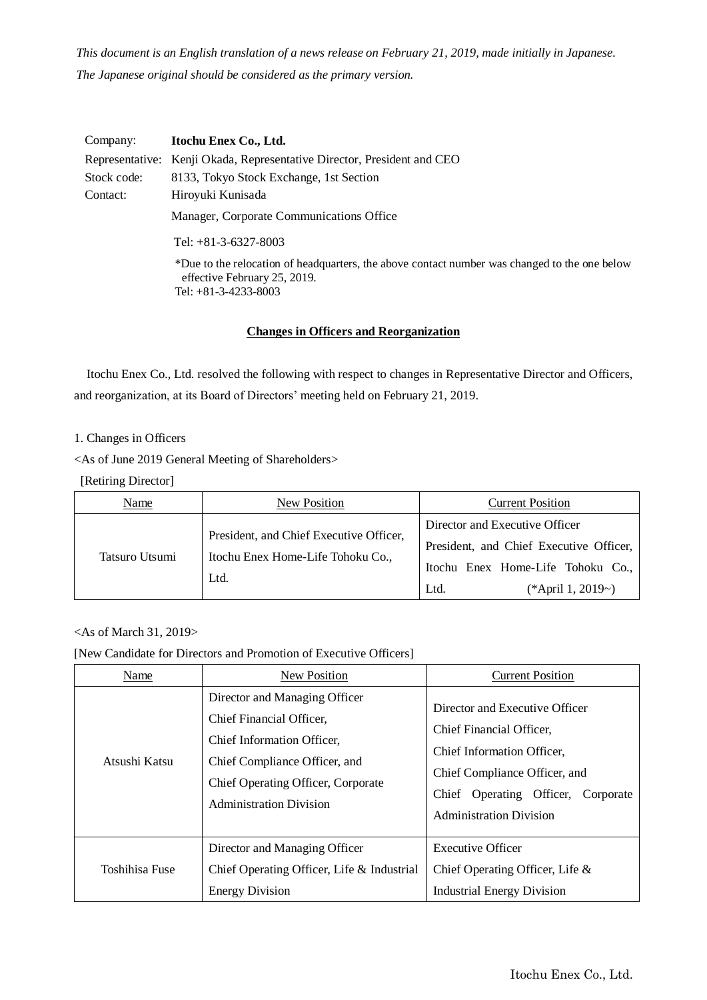*This document is an English translation of a news release on February 21, 2019, made initially in Japanese. The Japanese original should be considered as the primary version.*

| Company:    | Itochu Enex Co., Ltd.                                                                                                                                   |  |
|-------------|---------------------------------------------------------------------------------------------------------------------------------------------------------|--|
|             | Representative: Kenji Okada, Representative Director, President and CEO                                                                                 |  |
| Stock code: | 8133, Tokyo Stock Exchange, 1st Section                                                                                                                 |  |
| Contact:    | Hiroyuki Kunisada                                                                                                                                       |  |
|             | Manager, Corporate Communications Office                                                                                                                |  |
|             | Tel: $+81-3-6327-8003$                                                                                                                                  |  |
|             | *Due to the relocation of headquarters, the above contact number was changed to the one below<br>effective February 25, 2019.<br>Tel: $+81-3-4233-8003$ |  |

# **Changes in Officers and Reorganization**

Itochu Enex Co., Ltd. resolved the following with respect to changes in Representative Director and Officers, and reorganization, at its Board of Directors' meeting held on February 21, 2019.

## 1. Changes in Officers

<As of June 2019 General Meeting of Shareholders>

[Retiring Director]

| Name           | New Position                                                                         | <b>Current Position</b>                                                                                                                     |
|----------------|--------------------------------------------------------------------------------------|---------------------------------------------------------------------------------------------------------------------------------------------|
| Tatsuro Utsumi | President, and Chief Executive Officer,<br>Itochu Enex Home-Life Tohoku Co.,<br>Ltd. | Director and Executive Officer<br>President, and Chief Executive Officer,<br>Itochu Enex Home-Life Tohoku Co.,<br>Ltd.<br>(*April 1, 2019~) |

## <As of March 31, 2019>

#### [New Candidate for Directors and Promotion of Executive Officers]

| Name           | New Position                                                                                                                                                                                     | <b>Current Position</b>                                                                                                                                                                           |
|----------------|--------------------------------------------------------------------------------------------------------------------------------------------------------------------------------------------------|---------------------------------------------------------------------------------------------------------------------------------------------------------------------------------------------------|
| Atsushi Katsu  | Director and Managing Officer<br>Chief Financial Officer,<br>Chief Information Officer.<br>Chief Compliance Officer, and<br>Chief Operating Officer, Corporate<br><b>Administration Division</b> | Director and Executive Officer<br>Chief Financial Officer,<br>Chief Information Officer,<br>Chief Compliance Officer, and<br>Chief Operating Officer, Corporate<br><b>Administration Division</b> |
| Toshihisa Fuse | Director and Managing Officer<br>Chief Operating Officer, Life & Industrial<br><b>Energy Division</b>                                                                                            | <b>Executive Officer</b><br>Chief Operating Officer, Life &<br><b>Industrial Energy Division</b>                                                                                                  |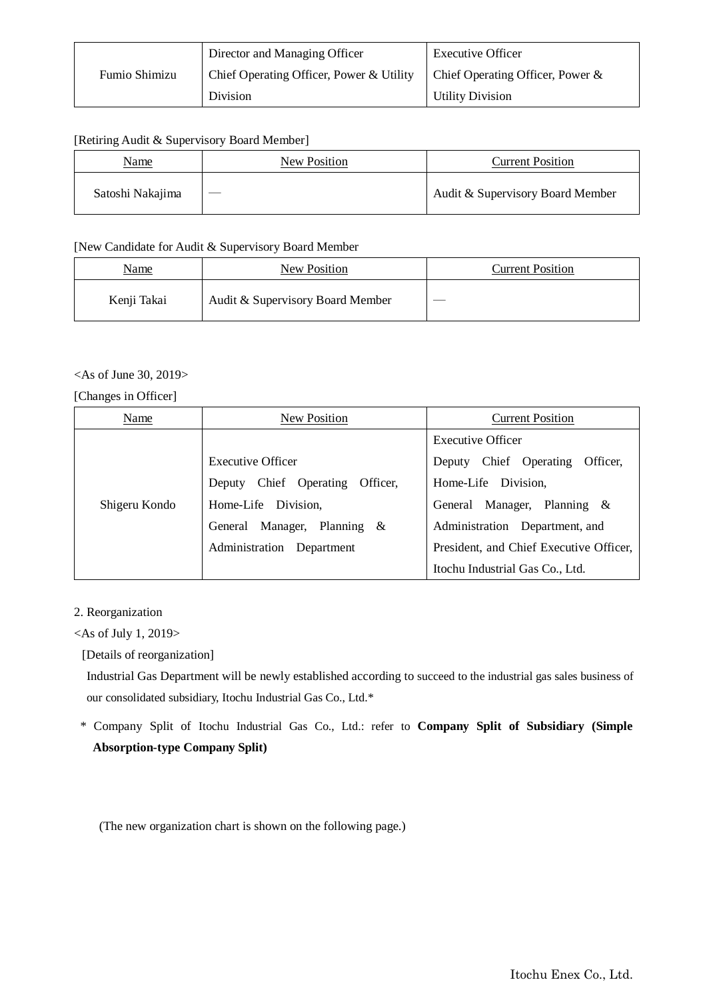|               | Director and Managing Officer            | <b>Executive Officer</b>            |
|---------------|------------------------------------------|-------------------------------------|
| Fumio Shimizu | Chief Operating Officer, Power & Utility | Chief Operating Officer, Power $\&$ |
|               | Division                                 | <b>Utility Division</b>             |

#### [Retiring Audit & Supervisory Board Member]

| Name             | New Position | <b>Current Position</b>          |
|------------------|--------------|----------------------------------|
| Satoshi Nakajima |              | Audit & Supervisory Board Member |

#### [New Candidate for Audit & Supervisory Board Member

| <u>Name</u> | New Position                     | <b>Current Position</b> |
|-------------|----------------------------------|-------------------------|
| Kenji Takai | Audit & Supervisory Board Member | __                      |

## <As of June 30, 2019>

## [Changes in Officer]

| Name          | New Position                          | <b>Current Position</b>                 |
|---------------|---------------------------------------|-----------------------------------------|
| Shigeru Kondo |                                       | Executive Officer                       |
|               | Executive Officer                     | Chief Operating<br>Officer.<br>Deputy   |
|               | Chief Operating<br>Officer.<br>Deputy | Home-Life Division.                     |
|               | Home-Life Division,                   | Manager, Planning $\&$<br>General       |
|               | General Manager, Planning &           | Administration Department, and          |
|               | Administration Department             | President, and Chief Executive Officer, |
|               |                                       | Itochu Industrial Gas Co., Ltd.         |

# 2. Reorganization

# <As of July 1, 2019>

[Details of reorganization]

Industrial Gas Department will be newly established according to succeed to the industrial gas sales business of our consolidated subsidiary, Itochu Industrial Gas Co., Ltd.\*

\* Company Split of Itochu Industrial Gas Co., Ltd.: refer to **Company Split of Subsidiary (Simple Absorption-type Company Split)**

(The new organization chart is shown on the following page.)